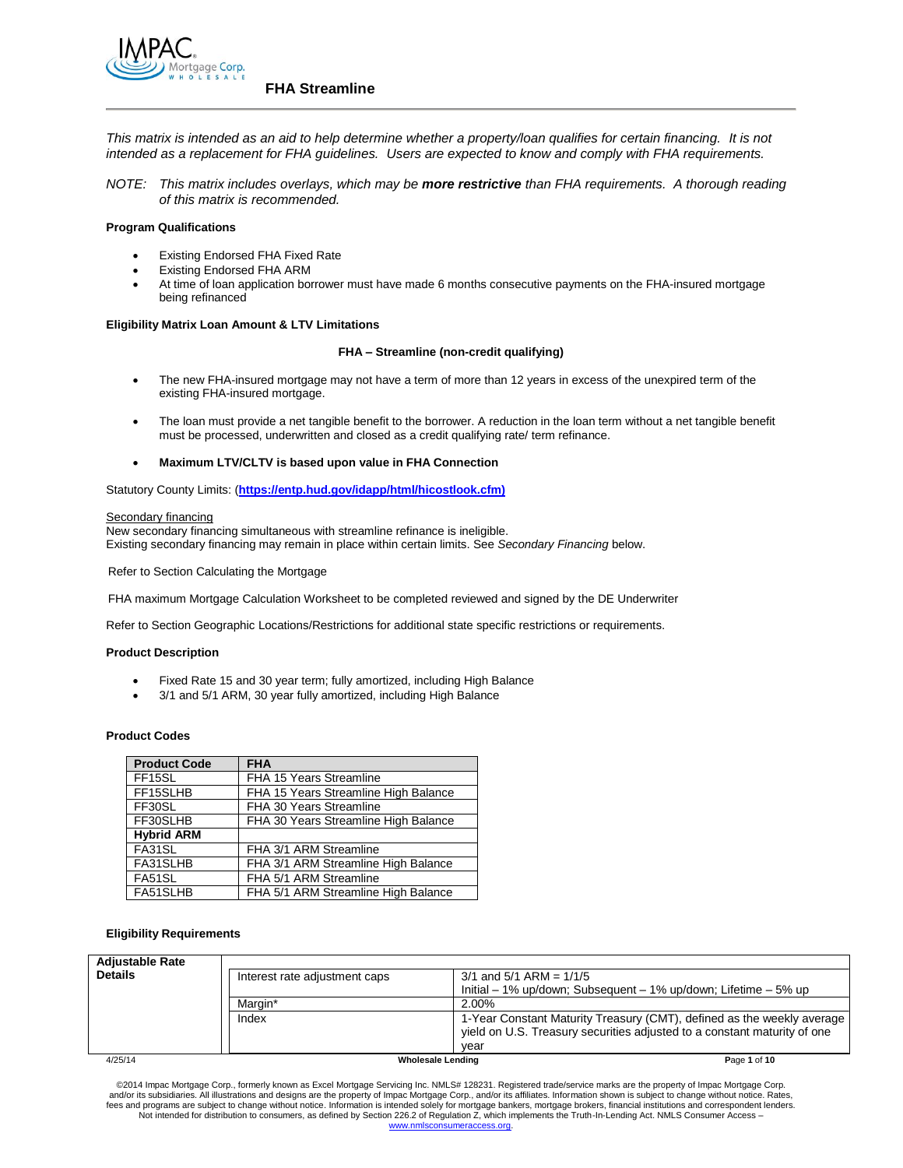

*This matrix is intended as an aid to help determine whether a property/loan qualifies for certain financing. It is not intended as a replacement for FHA guidelines. Users are expected to know and comply with FHA requirements.*

*NOTE: This matrix includes overlays, which may be more restrictive than FHA requirements. A thorough reading of this matrix is recommended.*

## **Program Qualifications**

- Existing Endorsed FHA Fixed Rate
- Existing Endorsed FHA ARM
- At time of loan application borrower must have made 6 months consecutive payments on the FHA-insured mortgage being refinanced

## **Eligibility Matrix Loan Amount & LTV Limitations**

#### **FHA – Streamline (non-credit qualifying)**

- The new FHA-insured mortgage may not have a term of more than 12 years in excess of the unexpired term of the existing FHA-insured mortgage.
- The loan must provide a net tangible benefit to the borrower. A reduction in the loan term without a net tangible benefit must be processed, underwritten and closed as a credit qualifying rate/ term refinance.
- **Maximum LTV/CLTV is based upon value in FHA Connection**

Statutory County Limits: (**https://entp.hud.gov/idapp/html/hicostlook.cfm)** 

#### Secondary financing

New secondary financing simultaneous with streamline refinance is ineligible. Existing secondary financing may remain in place within certain limits. See *Secondary Financing* below.

Refer to Section Calculating the Mortgage

FHA maximum Mortgage Calculation Worksheet to be completed reviewed and signed by the DE Underwriter

Refer to Section Geographic Locations/Restrictions for additional state specific restrictions or requirements.

#### **Product Description**

- Fixed Rate 15 and 30 year term; fully amortized, including High Balance
- 3/1 and 5/1 ARM, 30 year fully amortized, including High Balance

#### **Product Codes**

| <b>Product Code</b> | <b>FHA</b>                           |
|---------------------|--------------------------------------|
| FF15SL              | FHA 15 Years Streamline              |
| FF15SLHB            | FHA 15 Years Streamline High Balance |
| FF30SL              | FHA 30 Years Streamline              |
| FF30SLHB            | FHA 30 Years Streamline High Balance |
| <b>Hybrid ARM</b>   |                                      |
| FA31SL              | FHA 3/1 ARM Streamline               |
| FA31SLHB            | FHA 3/1 ARM Streamline High Balance  |
| FA51SL              | FHA 5/1 ARM Streamline               |
| FA51SLHB            | FHA 5/1 ARM Streamline High Balance  |

#### **Eligibility Requirements**

| <b>Adjustable Rate</b> |                               |                                                                          |
|------------------------|-------------------------------|--------------------------------------------------------------------------|
| <b>Details</b>         | Interest rate adjustment caps | $3/1$ and $5/1$ ARM = $1/1/5$                                            |
|                        |                               | $Initial - 1\%$ up/down; Subsequent $- 1\%$ up/down; Lifetime $- 5\%$ up |
|                        | Margin*                       | 2.00%                                                                    |
|                        | Index                         | 1-Year Constant Maturity Treasury (CMT), defined as the weekly average   |
|                        |                               | yield on U.S. Treasury securities adjusted to a constant maturity of one |
|                        |                               | vear                                                                     |
| 4/25/14                |                               | Page 1 of 10<br><b>Wholesale Lending</b>                                 |

©2014 Impac Mortgage Corp., formerly known as Excel Mortgage Servicing Inc. NMLS# 128231. Registered trade/service marks are the property of Impac Mortgage Corp.<br>and/or its subsidiaries. All illustrations and designs are t fees and programs are subject to change without notice. Information is intended solely for mortgage bankers, mortgage brokers, financial institutions and correspondent lenders. Not intended for distribution to consumers, as defined by Section 226.2 of Regulation Z, which implements the Truth-In-Lending Act. NMLS Consumer Access www.nm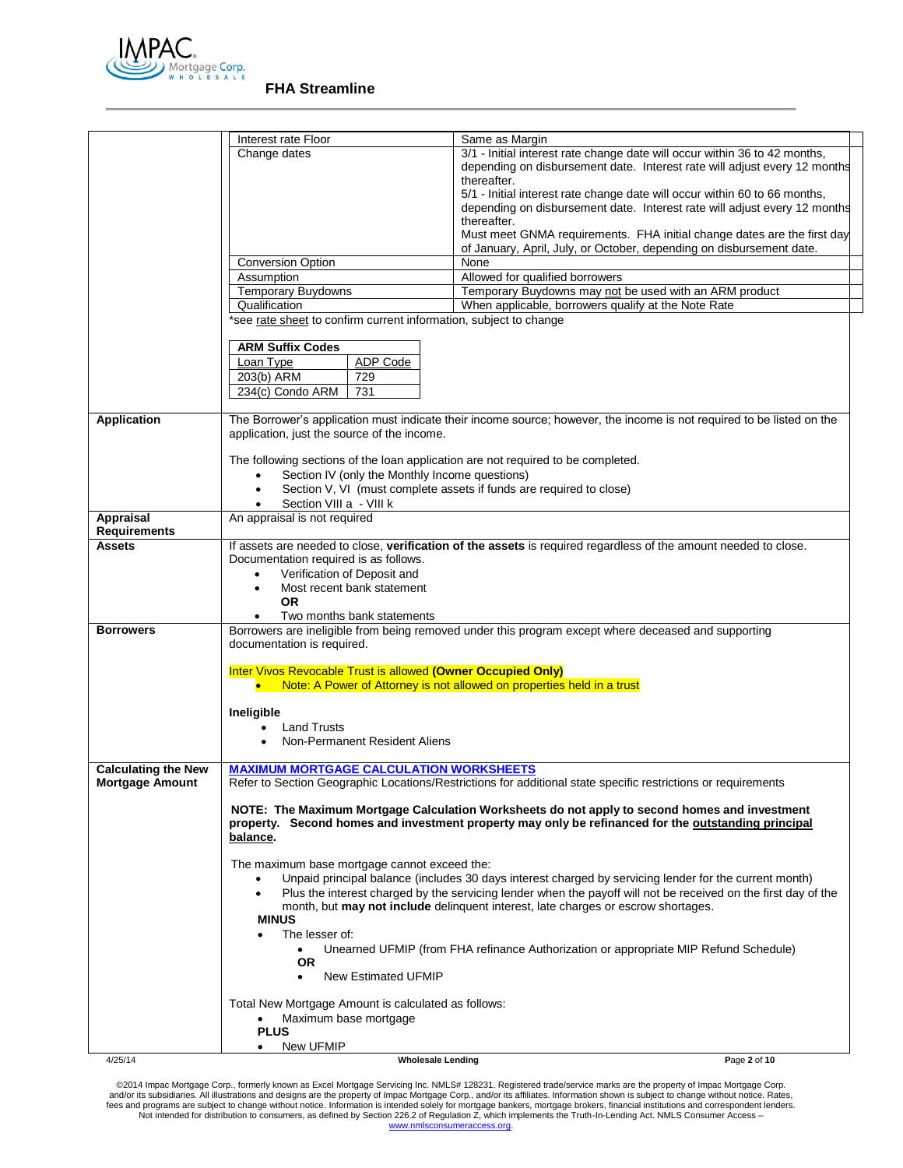

|                            | Interest rate Floor                                                              | Same as Margin                                                                                                        |
|----------------------------|----------------------------------------------------------------------------------|-----------------------------------------------------------------------------------------------------------------------|
|                            | Change dates                                                                     | 3/1 - Initial interest rate change date will occur within 36 to 42 months,                                            |
|                            |                                                                                  | depending on disbursement date. Interest rate will adjust every 12 months                                             |
|                            |                                                                                  | thereafter.                                                                                                           |
|                            |                                                                                  | 5/1 - Initial interest rate change date will occur within 60 to 66 months,                                            |
|                            |                                                                                  | depending on disbursement date. Interest rate will adjust every 12 months                                             |
|                            |                                                                                  | thereafter.                                                                                                           |
|                            |                                                                                  | Must meet GNMA requirements. FHA initial change dates are the first day                                               |
|                            |                                                                                  | of January, April, July, or October, depending on disbursement date.                                                  |
|                            | <b>Conversion Option</b>                                                         | None                                                                                                                  |
|                            | Assumption                                                                       | Allowed for qualified borrowers                                                                                       |
|                            | Temporary Buydowns                                                               | Temporary Buydowns may not be used with an ARM product                                                                |
|                            | Qualification                                                                    | When applicable, borrowers qualify at the Note Rate                                                                   |
|                            | *see rate sheet to confirm current information, subject to change                |                                                                                                                       |
|                            |                                                                                  |                                                                                                                       |
|                            | <b>ARM Suffix Codes</b>                                                          |                                                                                                                       |
|                            | <b>ADP Code</b><br>Loan Type                                                     |                                                                                                                       |
|                            | 203(b) ARM<br>729                                                                |                                                                                                                       |
|                            | 234(c) Condo ARM<br>731                                                          |                                                                                                                       |
|                            |                                                                                  |                                                                                                                       |
| Application                |                                                                                  | The Borrower's application must indicate their income source; however, the income is not required to be listed on the |
|                            | application, just the source of the income.                                      |                                                                                                                       |
|                            |                                                                                  |                                                                                                                       |
|                            | The following sections of the loan application are not required to be completed. |                                                                                                                       |
|                            | Section IV (only the Monthly Income questions)<br>$\bullet$                      |                                                                                                                       |
|                            | $\bullet$                                                                        | Section V, VI (must complete assets if funds are required to close)                                                   |
|                            | Section VIII a - VIII k                                                          |                                                                                                                       |
| <b>Appraisal</b>           | An appraisal is not required                                                     |                                                                                                                       |
| <b>Requirements</b>        |                                                                                  |                                                                                                                       |
| <b>Assets</b>              |                                                                                  | If assets are needed to close, verification of the assets is required regardless of the amount needed to close.       |
|                            | Documentation required is as follows.                                            |                                                                                                                       |
|                            | Verification of Deposit and<br>$\bullet$                                         |                                                                                                                       |
|                            | Most recent bank statement<br>$\bullet$                                          |                                                                                                                       |
|                            | <b>OR</b>                                                                        |                                                                                                                       |
|                            | Two months bank statements                                                       |                                                                                                                       |
| <b>Borrowers</b>           |                                                                                  | Borrowers are ineligible from being removed under this program except where deceased and supporting                   |
|                            | documentation is required.                                                       |                                                                                                                       |
|                            | Inter Vivos Revocable Trust is allowed (Owner Occupied Only)                     |                                                                                                                       |
|                            |                                                                                  | Note: A Power of Attorney is not allowed on properties held in a trust                                                |
|                            |                                                                                  |                                                                                                                       |
|                            | Ineligible                                                                       |                                                                                                                       |
|                            | <b>Land Trusts</b>                                                               |                                                                                                                       |
|                            | Non-Permanent Resident Aliens                                                    |                                                                                                                       |
|                            |                                                                                  |                                                                                                                       |
| <b>Calculating the New</b> | <b>MAXIMUM MORTGAGE CALCULATION WORKSHEETS</b>                                   |                                                                                                                       |
| <b>Mortgage Amount</b>     |                                                                                  | Refer to Section Geographic Locations/Restrictions for additional state specific restrictions or requirements         |
|                            |                                                                                  |                                                                                                                       |
|                            |                                                                                  | NOTE: The Maximum Mortgage Calculation Worksheets do not apply to second homes and investment                         |
|                            |                                                                                  | property. Second homes and investment property may only be refinanced for the outstanding principal                   |
|                            | balance.                                                                         |                                                                                                                       |
|                            |                                                                                  |                                                                                                                       |
|                            | The maximum base mortgage cannot exceed the:                                     |                                                                                                                       |
|                            | $\bullet$                                                                        | Unpaid principal balance (includes 30 days interest charged by servicing lender for the current month)                |
|                            | $\bullet$                                                                        | Plus the interest charged by the servicing lender when the payoff will not be received on the first day of the        |
|                            |                                                                                  | month, but may not include delinquent interest, late charges or escrow shortages.                                     |
|                            | <b>MINUS</b>                                                                     |                                                                                                                       |
|                            | The lesser of:                                                                   |                                                                                                                       |
|                            | $\bullet$                                                                        | Unearned UFMIP (from FHA refinance Authorization or appropriate MIP Refund Schedule)                                  |
|                            | <b>OR</b>                                                                        |                                                                                                                       |
|                            | New Estimated UFMIP<br>$\bullet$                                                 |                                                                                                                       |
|                            |                                                                                  |                                                                                                                       |
|                            | Total New Mortgage Amount is calculated as follows:                              |                                                                                                                       |
|                            | Maximum base mortgage<br>٠<br><b>PLUS</b>                                        |                                                                                                                       |
|                            | New UFMIP<br>٠                                                                   |                                                                                                                       |
| 4/25/14                    | <b>Wholesale Lending</b>                                                         | Page 2 of 10                                                                                                          |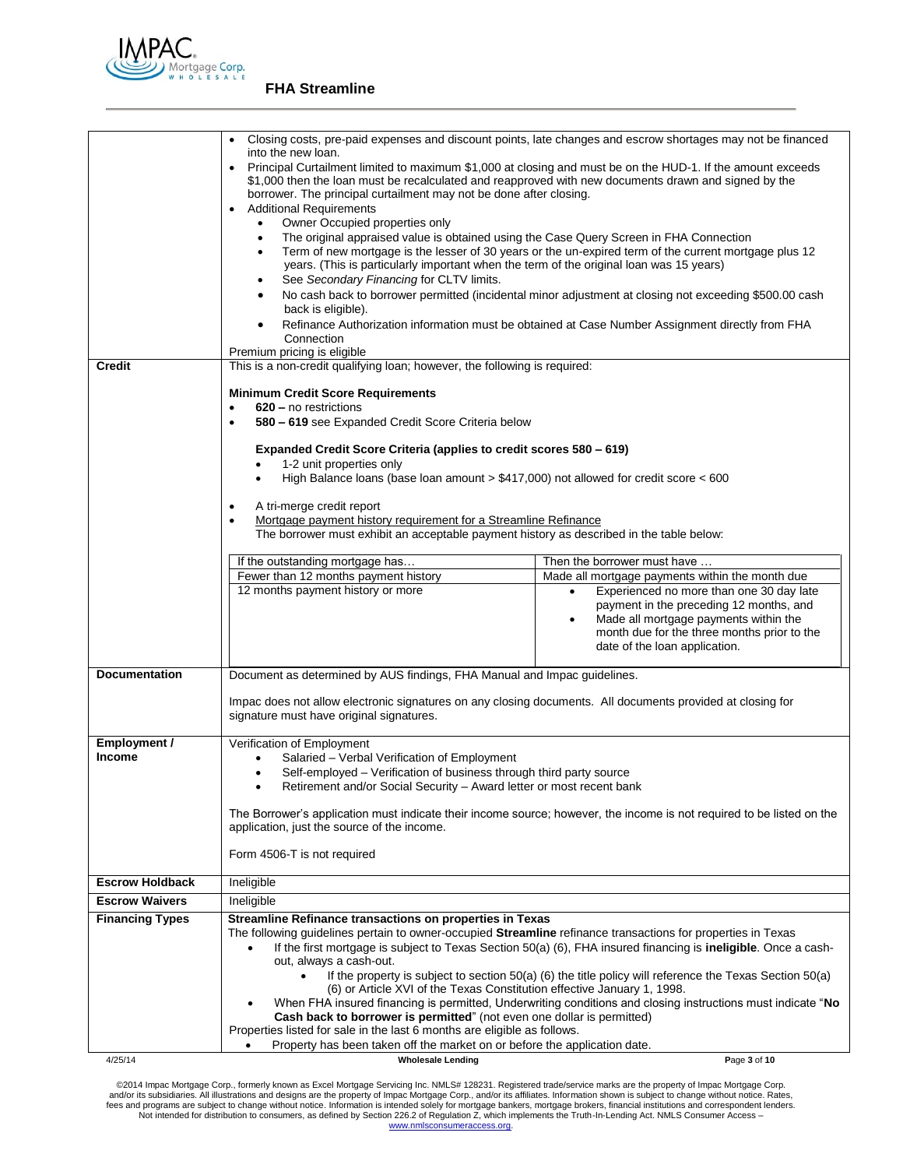

|                        | Closing costs, pre-paid expenses and discount points, late changes and escrow shortages may not be financed<br>into the new loan.<br>Principal Curtailment limited to maximum \$1,000 at closing and must be on the HUD-1. If the amount exceeds<br>\$1,000 then the loan must be recalculated and reapproved with new documents drawn and signed by the<br>borrower. The principal curtailment may not be done after closing.<br><b>Additional Requirements</b><br>Owner Occupied properties only |                                                                                                                                                                                                            |  |  |
|------------------------|----------------------------------------------------------------------------------------------------------------------------------------------------------------------------------------------------------------------------------------------------------------------------------------------------------------------------------------------------------------------------------------------------------------------------------------------------------------------------------------------------|------------------------------------------------------------------------------------------------------------------------------------------------------------------------------------------------------------|--|--|
|                        | $\bullet$<br>The original appraised value is obtained using the Case Query Screen in FHA Connection<br>$\bullet$<br>Term of new mortgage is the lesser of 30 years or the un-expired term of the current mortgage plus 12<br>years. (This is particularly important when the term of the original loan was 15 years)<br>See Secondary Financing for CLTV limits.<br>٠                                                                                                                              |                                                                                                                                                                                                            |  |  |
|                        | $\bullet$<br>back is eligible).<br>Connection                                                                                                                                                                                                                                                                                                                                                                                                                                                      | No cash back to borrower permitted (incidental minor adjustment at closing not exceeding \$500.00 cash<br>Refinance Authorization information must be obtained at Case Number Assignment directly from FHA |  |  |
| <b>Credit</b>          | Premium pricing is eligible<br>This is a non-credit qualifying loan; however, the following is required:                                                                                                                                                                                                                                                                                                                                                                                           |                                                                                                                                                                                                            |  |  |
|                        |                                                                                                                                                                                                                                                                                                                                                                                                                                                                                                    |                                                                                                                                                                                                            |  |  |
|                        | <b>Minimum Credit Score Requirements</b><br>620 – no restrictions<br>$\bullet$                                                                                                                                                                                                                                                                                                                                                                                                                     |                                                                                                                                                                                                            |  |  |
|                        | 580 - 619 see Expanded Credit Score Criteria below<br>$\bullet$                                                                                                                                                                                                                                                                                                                                                                                                                                    |                                                                                                                                                                                                            |  |  |
|                        | Expanded Credit Score Criteria (applies to credit scores 580 – 619)                                                                                                                                                                                                                                                                                                                                                                                                                                |                                                                                                                                                                                                            |  |  |
|                        | 1-2 unit properties only                                                                                                                                                                                                                                                                                                                                                                                                                                                                           |                                                                                                                                                                                                            |  |  |
|                        | High Balance loans (base loan amount $> $417,000$ ) not allowed for credit score $< 600$                                                                                                                                                                                                                                                                                                                                                                                                           |                                                                                                                                                                                                            |  |  |
|                        | A tri-merge credit report                                                                                                                                                                                                                                                                                                                                                                                                                                                                          |                                                                                                                                                                                                            |  |  |
|                        | Mortgage payment history requirement for a Streamline Refinance<br>The borrower must exhibit an acceptable payment history as described in the table below:                                                                                                                                                                                                                                                                                                                                        |                                                                                                                                                                                                            |  |  |
|                        |                                                                                                                                                                                                                                                                                                                                                                                                                                                                                                    |                                                                                                                                                                                                            |  |  |
|                        | If the outstanding mortgage has<br>Fewer than 12 months payment history                                                                                                                                                                                                                                                                                                                                                                                                                            | Then the borrower must have                                                                                                                                                                                |  |  |
|                        | 12 months payment history or more                                                                                                                                                                                                                                                                                                                                                                                                                                                                  | Made all mortgage payments within the month due<br>Experienced no more than one 30 day late<br>$\bullet$                                                                                                   |  |  |
|                        |                                                                                                                                                                                                                                                                                                                                                                                                                                                                                                    | payment in the preceding 12 months, and<br>Made all mortgage payments within the<br>month due for the three months prior to the<br>date of the loan application.                                           |  |  |
| <b>Documentation</b>   | Document as determined by AUS findings, FHA Manual and Impac guidelines.                                                                                                                                                                                                                                                                                                                                                                                                                           |                                                                                                                                                                                                            |  |  |
|                        | Impac does not allow electronic signatures on any closing documents. All documents provided at closing for<br>signature must have original signatures.                                                                                                                                                                                                                                                                                                                                             |                                                                                                                                                                                                            |  |  |
| Employment /           | Verification of Employment                                                                                                                                                                                                                                                                                                                                                                                                                                                                         |                                                                                                                                                                                                            |  |  |
| <b>Income</b>          | Salaried - Verbal Verification of Employment<br>Self-employed – Verification of business through third party source                                                                                                                                                                                                                                                                                                                                                                                |                                                                                                                                                                                                            |  |  |
|                        | Retirement and/or Social Security - Award letter or most recent bank                                                                                                                                                                                                                                                                                                                                                                                                                               |                                                                                                                                                                                                            |  |  |
|                        | The Borrower's application must indicate their income source; however, the income is not required to be listed on the<br>application, just the source of the income.                                                                                                                                                                                                                                                                                                                               |                                                                                                                                                                                                            |  |  |
|                        | Form 4506-T is not required                                                                                                                                                                                                                                                                                                                                                                                                                                                                        |                                                                                                                                                                                                            |  |  |
| <b>Escrow Holdback</b> | Ineligible                                                                                                                                                                                                                                                                                                                                                                                                                                                                                         |                                                                                                                                                                                                            |  |  |
| <b>Escrow Waivers</b>  | Ineligible                                                                                                                                                                                                                                                                                                                                                                                                                                                                                         |                                                                                                                                                                                                            |  |  |
| <b>Financing Types</b> | Streamline Refinance transactions on properties in Texas<br>The following guidelines pertain to owner-occupied Streamline refinance transactions for properties in Texas<br>If the first mortgage is subject to Texas Section 50(a) (6), FHA insured financing is <b>ineligible</b> . Once a cash-<br>out, always a cash-out.                                                                                                                                                                      |                                                                                                                                                                                                            |  |  |
|                        | (6) or Article XVI of the Texas Constitution effective January 1, 1998.                                                                                                                                                                                                                                                                                                                                                                                                                            | If the property is subject to section $50(a)$ (6) the title policy will reference the Texas Section $50(a)$                                                                                                |  |  |
|                        |                                                                                                                                                                                                                                                                                                                                                                                                                                                                                                    | When FHA insured financing is permitted, Underwriting conditions and closing instructions must indicate "No                                                                                                |  |  |
|                        | Cash back to borrower is permitted" (not even one dollar is permitted)<br>Properties listed for sale in the last 6 months are eligible as follows.                                                                                                                                                                                                                                                                                                                                                 |                                                                                                                                                                                                            |  |  |
|                        | Property has been taken off the market on or before the application date.                                                                                                                                                                                                                                                                                                                                                                                                                          |                                                                                                                                                                                                            |  |  |
| 4/25/14                | <b>Wholesale Lending</b>                                                                                                                                                                                                                                                                                                                                                                                                                                                                           | Page 3 of 10                                                                                                                                                                                               |  |  |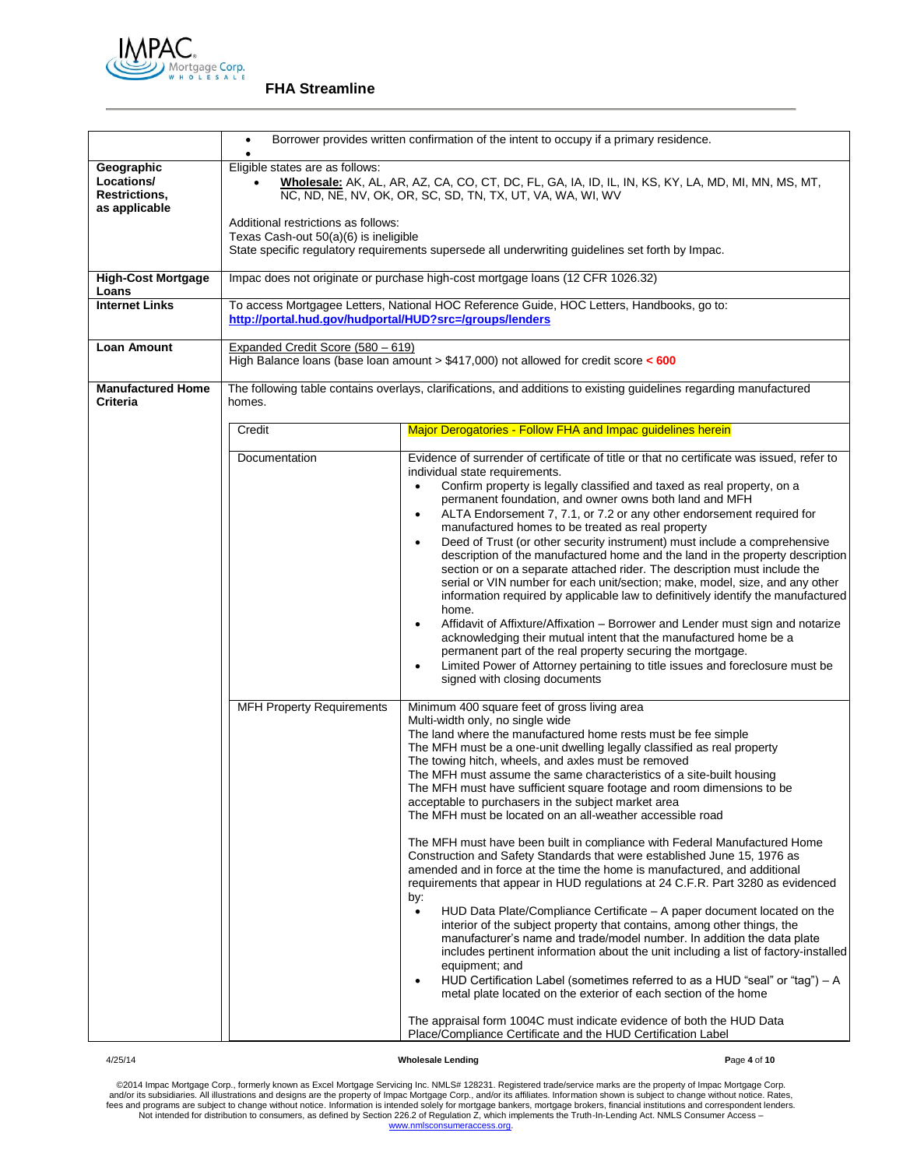

|                                                            | Borrower provides written confirmation of the intent to occupy if a primary residence.<br>$\bullet$                                                                                                                                                                                                                                                                                                                                                                                                                                                                                                                                                                                                                                                                                                                                                                                                                                                                                                                                                                                                                                                                                                                                            |                                                                                                                                                                                                                                                                                                                                                                                                                                                                                                                                                                                                                                                                                                                                                                                                                                                                                                                                                                                                                                                                                                                                                                                                                                                                                                                                                                                                                                                                                                                                                        |  |
|------------------------------------------------------------|------------------------------------------------------------------------------------------------------------------------------------------------------------------------------------------------------------------------------------------------------------------------------------------------------------------------------------------------------------------------------------------------------------------------------------------------------------------------------------------------------------------------------------------------------------------------------------------------------------------------------------------------------------------------------------------------------------------------------------------------------------------------------------------------------------------------------------------------------------------------------------------------------------------------------------------------------------------------------------------------------------------------------------------------------------------------------------------------------------------------------------------------------------------------------------------------------------------------------------------------|--------------------------------------------------------------------------------------------------------------------------------------------------------------------------------------------------------------------------------------------------------------------------------------------------------------------------------------------------------------------------------------------------------------------------------------------------------------------------------------------------------------------------------------------------------------------------------------------------------------------------------------------------------------------------------------------------------------------------------------------------------------------------------------------------------------------------------------------------------------------------------------------------------------------------------------------------------------------------------------------------------------------------------------------------------------------------------------------------------------------------------------------------------------------------------------------------------------------------------------------------------------------------------------------------------------------------------------------------------------------------------------------------------------------------------------------------------------------------------------------------------------------------------------------------------|--|
| Geographic<br>Locations/<br>Restrictions,<br>as applicable | Eligible states are as follows:<br>Wholesale: AK, AL, AR, AZ, CA, CO, CT, DC, FL, GA, IA, ID, IL, IN, KS, KY, LA, MD, MI, MN, MS, MT,<br>NC, ND, NE, NV, OK, OR, SC, SD, TN, TX, UT, VA, WA, WI, WV<br>Additional restrictions as follows:<br>Texas Cash-out 50(a)(6) is ineligible<br>State specific regulatory requirements supersede all underwriting guidelines set forth by Impac.                                                                                                                                                                                                                                                                                                                                                                                                                                                                                                                                                                                                                                                                                                                                                                                                                                                        |                                                                                                                                                                                                                                                                                                                                                                                                                                                                                                                                                                                                                                                                                                                                                                                                                                                                                                                                                                                                                                                                                                                                                                                                                                                                                                                                                                                                                                                                                                                                                        |  |
| <b>High-Cost Mortgage</b><br>Loans                         |                                                                                                                                                                                                                                                                                                                                                                                                                                                                                                                                                                                                                                                                                                                                                                                                                                                                                                                                                                                                                                                                                                                                                                                                                                                | Impac does not originate or purchase high-cost mortgage loans (12 CFR 1026.32)                                                                                                                                                                                                                                                                                                                                                                                                                                                                                                                                                                                                                                                                                                                                                                                                                                                                                                                                                                                                                                                                                                                                                                                                                                                                                                                                                                                                                                                                         |  |
| <b>Internet Links</b>                                      | http://portal.hud.gov/hudportal/HUD?src=/groups/lenders                                                                                                                                                                                                                                                                                                                                                                                                                                                                                                                                                                                                                                                                                                                                                                                                                                                                                                                                                                                                                                                                                                                                                                                        | To access Mortgagee Letters, National HOC Reference Guide, HOC Letters, Handbooks, go to:                                                                                                                                                                                                                                                                                                                                                                                                                                                                                                                                                                                                                                                                                                                                                                                                                                                                                                                                                                                                                                                                                                                                                                                                                                                                                                                                                                                                                                                              |  |
| Loan Amount                                                | Expanded Credit Score (580 - 619)                                                                                                                                                                                                                                                                                                                                                                                                                                                                                                                                                                                                                                                                                                                                                                                                                                                                                                                                                                                                                                                                                                                                                                                                              | High Balance loans (base loan amount > $$417,000$ ) not allowed for credit score < 600                                                                                                                                                                                                                                                                                                                                                                                                                                                                                                                                                                                                                                                                                                                                                                                                                                                                                                                                                                                                                                                                                                                                                                                                                                                                                                                                                                                                                                                                 |  |
| <b>Manufactured Home</b><br><b>Criteria</b>                | homes.                                                                                                                                                                                                                                                                                                                                                                                                                                                                                                                                                                                                                                                                                                                                                                                                                                                                                                                                                                                                                                                                                                                                                                                                                                         | The following table contains overlays, clarifications, and additions to existing guidelines regarding manufactured                                                                                                                                                                                                                                                                                                                                                                                                                                                                                                                                                                                                                                                                                                                                                                                                                                                                                                                                                                                                                                                                                                                                                                                                                                                                                                                                                                                                                                     |  |
|                                                            | Credit                                                                                                                                                                                                                                                                                                                                                                                                                                                                                                                                                                                                                                                                                                                                                                                                                                                                                                                                                                                                                                                                                                                                                                                                                                         | Major Derogatories - Follow FHA and Impac quidelines herein                                                                                                                                                                                                                                                                                                                                                                                                                                                                                                                                                                                                                                                                                                                                                                                                                                                                                                                                                                                                                                                                                                                                                                                                                                                                                                                                                                                                                                                                                            |  |
|                                                            | Evidence of surrender of certificate of title or that no certificate was issued, refer to<br>Documentation<br>individual state requirements.<br>Confirm property is legally classified and taxed as real property, on a<br>$\bullet$<br>permanent foundation, and owner owns both land and MFH<br>ALTA Endorsement 7, 7.1, or 7.2 or any other endorsement required for<br>$\bullet$<br>manufactured homes to be treated as real property<br>Deed of Trust (or other security instrument) must include a comprehensive<br>$\bullet$<br>description of the manufactured home and the land in the property description<br>section or on a separate attached rider. The description must include the<br>serial or VIN number for each unit/section; make, model, size, and any other<br>information required by applicable law to definitively identify the manufactured<br>home.<br>Affidavit of Affixture/Affixation – Borrower and Lender must sign and notarize<br>$\bullet$<br>acknowledging their mutual intent that the manufactured home be a<br>permanent part of the real property securing the mortgage.<br>Limited Power of Attorney pertaining to title issues and foreclosure must be<br>$\bullet$<br>signed with closing documents |                                                                                                                                                                                                                                                                                                                                                                                                                                                                                                                                                                                                                                                                                                                                                                                                                                                                                                                                                                                                                                                                                                                                                                                                                                                                                                                                                                                                                                                                                                                                                        |  |
|                                                            | <b>MFH Property Requirements</b>                                                                                                                                                                                                                                                                                                                                                                                                                                                                                                                                                                                                                                                                                                                                                                                                                                                                                                                                                                                                                                                                                                                                                                                                               | Minimum 400 square feet of gross living area<br>Multi-width only, no single wide<br>The land where the manufactured home rests must be fee simple<br>The MFH must be a one-unit dwelling legally classified as real property<br>The towing hitch, wheels, and axles must be removed<br>The MFH must assume the same characteristics of a site-built housing<br>The MFH must have sufficient square footage and room dimensions to be<br>acceptable to purchasers in the subject market area<br>The MFH must be located on an all-weather accessible road<br>The MFH must have been built in compliance with Federal Manufactured Home<br>Construction and Safety Standards that were established June 15, 1976 as<br>amended and in force at the time the home is manufactured, and additional<br>requirements that appear in HUD regulations at 24 C.F.R. Part 3280 as evidenced<br>by:<br>HUD Data Plate/Compliance Certificate – A paper document located on the<br>$\bullet$<br>interior of the subject property that contains, among other things, the<br>manufacturer's name and trade/model number. In addition the data plate<br>includes pertinent information about the unit including a list of factory-installed<br>equipment; and<br>HUD Certification Label (sometimes referred to as a HUD "seal" or "tag") - A<br>$\bullet$<br>metal plate located on the exterior of each section of the home<br>The appraisal form 1004C must indicate evidence of both the HUD Data<br>Place/Compliance Certificate and the HUD Certification Label |  |

4/25/14 **Wholesale Lending P**age **4** of **10**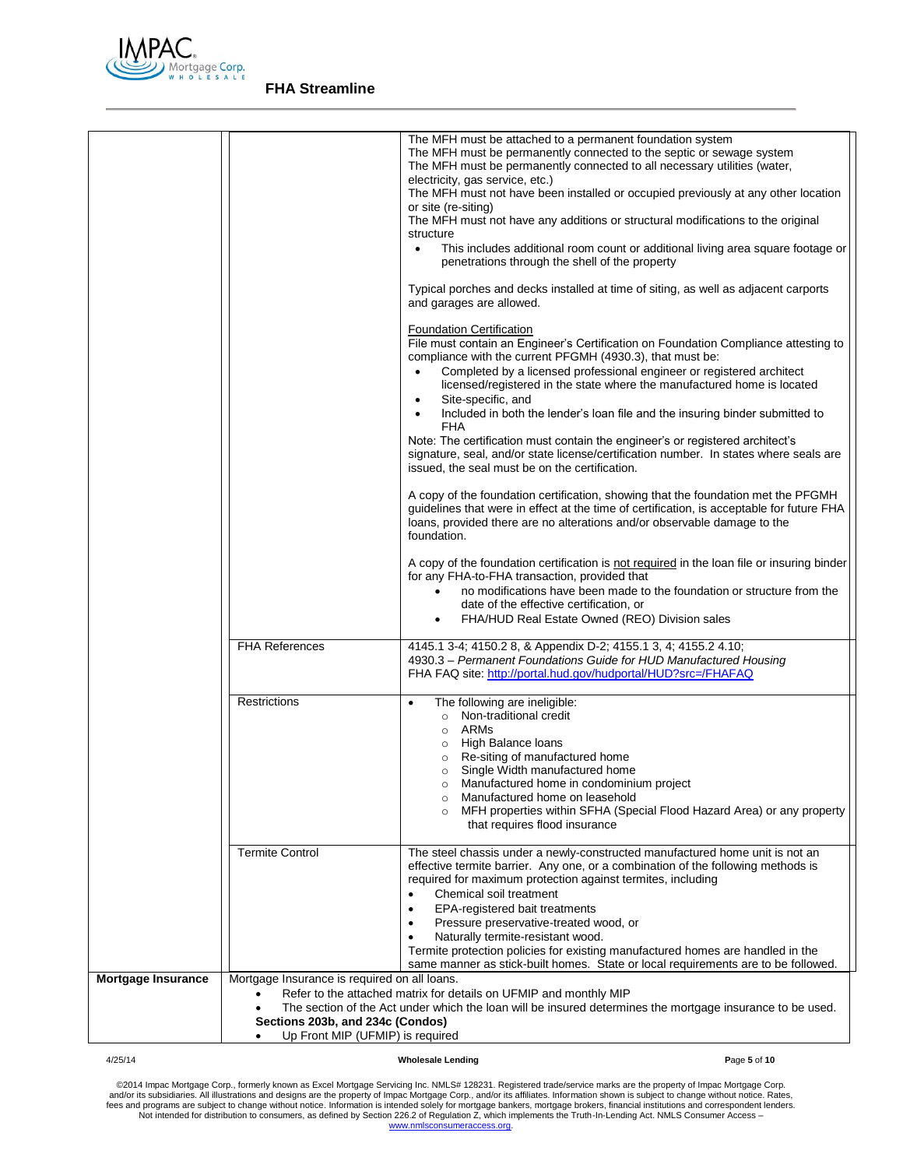

|                           |                                                                                                                      | The MFH must be attached to a permanent foundation system<br>The MFH must be permanently connected to the septic or sewage system<br>The MFH must be permanently connected to all necessary utilities (water,<br>electricity, gas service, etc.)<br>The MFH must not have been installed or occupied previously at any other location<br>or site (re-siting)<br>The MFH must not have any additions or structural modifications to the original<br>structure<br>This includes additional room count or additional living area square footage or<br>penetrations through the shell of the property<br>Typical porches and decks installed at time of siting, as well as adjacent carports<br>and garages are allowed.<br><b>Foundation Certification</b><br>File must contain an Engineer's Certification on Foundation Compliance attesting to<br>compliance with the current PFGMH (4930.3), that must be:<br>Completed by a licensed professional engineer or registered architect<br>licensed/registered in the state where the manufactured home is located<br>Site-specific, and<br>Included in both the lender's loan file and the insuring binder submitted to<br>FHA<br>Note: The certification must contain the engineer's or registered architect's<br>signature, seal, and/or state license/certification number. In states where seals are<br>issued, the seal must be on the certification.<br>A copy of the foundation certification, showing that the foundation met the PFGMH<br>guidelines that were in effect at the time of certification, is acceptable for future FHA<br>loans, provided there are no alterations and/or observable damage to the<br>foundation.<br>A copy of the foundation certification is not required in the loan file or insuring binder<br>for any FHA-to-FHA transaction, provided that<br>no modifications have been made to the foundation or structure from the<br>date of the effective certification, or<br>FHA/HUD Real Estate Owned (REO) Division sales |
|---------------------------|----------------------------------------------------------------------------------------------------------------------|--------------------------------------------------------------------------------------------------------------------------------------------------------------------------------------------------------------------------------------------------------------------------------------------------------------------------------------------------------------------------------------------------------------------------------------------------------------------------------------------------------------------------------------------------------------------------------------------------------------------------------------------------------------------------------------------------------------------------------------------------------------------------------------------------------------------------------------------------------------------------------------------------------------------------------------------------------------------------------------------------------------------------------------------------------------------------------------------------------------------------------------------------------------------------------------------------------------------------------------------------------------------------------------------------------------------------------------------------------------------------------------------------------------------------------------------------------------------------------------------------------------------------------------------------------------------------------------------------------------------------------------------------------------------------------------------------------------------------------------------------------------------------------------------------------------------------------------------------------------------------------------------------------------------------------------------------------------------------------------------------------------|
|                           | <b>FHA References</b>                                                                                                | 4145.1 3-4; 4150.2 8, & Appendix D-2; 4155.1 3, 4; 4155.2 4.10;<br>4930.3 - Permanent Foundations Guide for HUD Manufactured Housing<br>FHA FAQ site: http://portal.hud.gov/hudportal/HUD?src=/FHAFAQ                                                                                                                                                                                                                                                                                                                                                                                                                                                                                                                                                                                                                                                                                                                                                                                                                                                                                                                                                                                                                                                                                                                                                                                                                                                                                                                                                                                                                                                                                                                                                                                                                                                                                                                                                                                                        |
|                           | Restrictions                                                                                                         | The following are ineligible:<br>$\bullet$<br>Non-traditional credit<br>$\circ$<br>ARMs<br>$\circ$<br>High Balance loans<br>$\circ$<br>o Re-siting of manufactured home<br>Single Width manufactured home<br>$\circ$<br>Manufactured home in condominium project<br>$\Omega$<br>Manufactured home on leasehold<br>$\circ$<br>MFH properties within SFHA (Special Flood Hazard Area) or any property<br>$\circ$<br>that requires flood insurance                                                                                                                                                                                                                                                                                                                                                                                                                                                                                                                                                                                                                                                                                                                                                                                                                                                                                                                                                                                                                                                                                                                                                                                                                                                                                                                                                                                                                                                                                                                                                              |
|                           | <b>Termite Control</b>                                                                                               | The steel chassis under a newly-constructed manufactured home unit is not an<br>effective termite barrier. Any one, or a combination of the following methods is<br>required for maximum protection against termites, including<br>Chemical soil treatment<br>EPA-registered bait treatments<br>$\bullet$<br>Pressure preservative-treated wood, or<br>$\bullet$<br>Naturally termite-resistant wood.<br>Termite protection policies for existing manufactured homes are handled in the<br>same manner as stick-built homes. State or local requirements are to be followed.                                                                                                                                                                                                                                                                                                                                                                                                                                                                                                                                                                                                                                                                                                                                                                                                                                                                                                                                                                                                                                                                                                                                                                                                                                                                                                                                                                                                                                 |
| <b>Mortgage Insurance</b> | Mortgage Insurance is required on all loans.<br>Sections 203b, and 234c (Condos)<br>Up Front MIP (UFMIP) is required | Refer to the attached matrix for details on UFMIP and monthly MIP<br>The section of the Act under which the loan will be insured determines the mortgage insurance to be used.                                                                                                                                                                                                                                                                                                                                                                                                                                                                                                                                                                                                                                                                                                                                                                                                                                                                                                                                                                                                                                                                                                                                                                                                                                                                                                                                                                                                                                                                                                                                                                                                                                                                                                                                                                                                                               |

4/25/14 **Wholesale Lending P**age **5** of **10**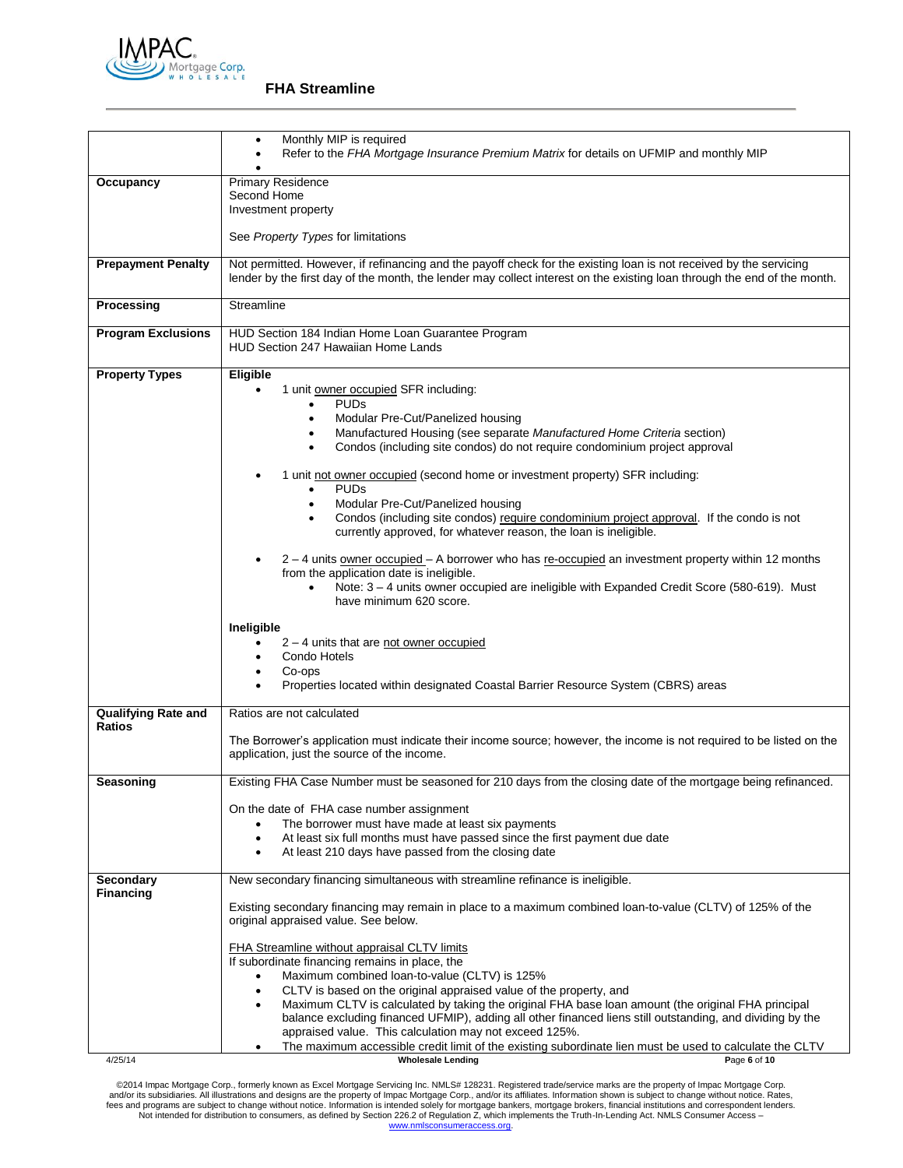

|                                      | Monthly MIP is required<br>$\bullet$<br>Refer to the FHA Mortgage Insurance Premium Matrix for details on UFMIP and monthly MIP                                                                                                                |  |  |  |
|--------------------------------------|------------------------------------------------------------------------------------------------------------------------------------------------------------------------------------------------------------------------------------------------|--|--|--|
|                                      |                                                                                                                                                                                                                                                |  |  |  |
| Occupancy                            | <b>Primary Residence</b>                                                                                                                                                                                                                       |  |  |  |
|                                      | Second Home<br>Investment property                                                                                                                                                                                                             |  |  |  |
|                                      |                                                                                                                                                                                                                                                |  |  |  |
|                                      | See Property Types for limitations                                                                                                                                                                                                             |  |  |  |
| <b>Prepayment Penalty</b>            | Not permitted. However, if refinancing and the payoff check for the existing loan is not received by the servicing<br>lender by the first day of the month, the lender may collect interest on the existing loan through the end of the month. |  |  |  |
| Processing                           | Streamline                                                                                                                                                                                                                                     |  |  |  |
| <b>Program Exclusions</b>            | HUD Section 184 Indian Home Loan Guarantee Program<br><b>HUD Section 247 Hawaiian Home Lands</b>                                                                                                                                               |  |  |  |
| <b>Property Types</b>                | Eligible                                                                                                                                                                                                                                       |  |  |  |
|                                      | 1 unit owner occupied SFR including:                                                                                                                                                                                                           |  |  |  |
|                                      | <b>PUDs</b><br>$\bullet$<br>Modular Pre-Cut/Panelized housing<br>$\bullet$                                                                                                                                                                     |  |  |  |
|                                      | Manufactured Housing (see separate Manufactured Home Criteria section)                                                                                                                                                                         |  |  |  |
|                                      | Condos (including site condos) do not require condominium project approval<br>$\bullet$                                                                                                                                                        |  |  |  |
|                                      | 1 unit not owner occupied (second home or investment property) SFR including:<br><b>PUDs</b>                                                                                                                                                   |  |  |  |
|                                      | Modular Pre-Cut/Panelized housing                                                                                                                                                                                                              |  |  |  |
|                                      | Condos (including site condos) require condominium project approval. If the condo is not                                                                                                                                                       |  |  |  |
|                                      | currently approved, for whatever reason, the loan is ineligible.                                                                                                                                                                               |  |  |  |
|                                      | $2 - 4$ units owner occupied $- A$ borrower who has re-occupied an investment property within 12 months                                                                                                                                        |  |  |  |
|                                      | from the application date is ineligible.<br>Note: 3 - 4 units owner occupied are ineligible with Expanded Credit Score (580-619). Must                                                                                                         |  |  |  |
|                                      | have minimum 620 score.                                                                                                                                                                                                                        |  |  |  |
|                                      | Ineligible                                                                                                                                                                                                                                     |  |  |  |
|                                      | $2 - 4$ units that are not owner occupied                                                                                                                                                                                                      |  |  |  |
|                                      | Condo Hotels                                                                                                                                                                                                                                   |  |  |  |
|                                      | Co-ops<br>Properties located within designated Coastal Barrier Resource System (CBRS) areas                                                                                                                                                    |  |  |  |
|                                      |                                                                                                                                                                                                                                                |  |  |  |
| Qualifying Rate and<br><b>Ratios</b> | Ratios are not calculated                                                                                                                                                                                                                      |  |  |  |
|                                      | The Borrower's application must indicate their income source; however, the income is not required to be listed on the                                                                                                                          |  |  |  |
|                                      | application, just the source of the income.                                                                                                                                                                                                    |  |  |  |
| Seasoning                            | Existing FHA Case Number must be seasoned for 210 days from the closing date of the mortgage being refinanced.                                                                                                                                 |  |  |  |
|                                      | On the date of FHA case number assignment                                                                                                                                                                                                      |  |  |  |
|                                      | The borrower must have made at least six payments                                                                                                                                                                                              |  |  |  |
|                                      | At least six full months must have passed since the first payment due date                                                                                                                                                                     |  |  |  |
|                                      | At least 210 days have passed from the closing date                                                                                                                                                                                            |  |  |  |
| Secondary<br><b>Financing</b>        | New secondary financing simultaneous with streamline refinance is ineligible.                                                                                                                                                                  |  |  |  |
|                                      | Existing secondary financing may remain in place to a maximum combined loan-to-value (CLTV) of 125% of the<br>original appraised value. See below.                                                                                             |  |  |  |
|                                      | FHA Streamline without appraisal CLTV limits                                                                                                                                                                                                   |  |  |  |
|                                      | If subordinate financing remains in place, the                                                                                                                                                                                                 |  |  |  |
|                                      | Maximum combined loan-to-value (CLTV) is 125%                                                                                                                                                                                                  |  |  |  |
|                                      | CLTV is based on the original appraised value of the property, and<br>Maximum CLTV is calculated by taking the original FHA base loan amount (the original FHA principal                                                                       |  |  |  |
|                                      | balance excluding financed UFMIP), adding all other financed liens still outstanding, and dividing by the                                                                                                                                      |  |  |  |
|                                      | appraised value. This calculation may not exceed 125%.                                                                                                                                                                                         |  |  |  |
|                                      | The maximum accessible credit limit of the existing subordinate lien must be used to calculate the CLTV<br><b>Wholesale Lending</b><br>Page 6 of 10                                                                                            |  |  |  |
| 4/25/14                              |                                                                                                                                                                                                                                                |  |  |  |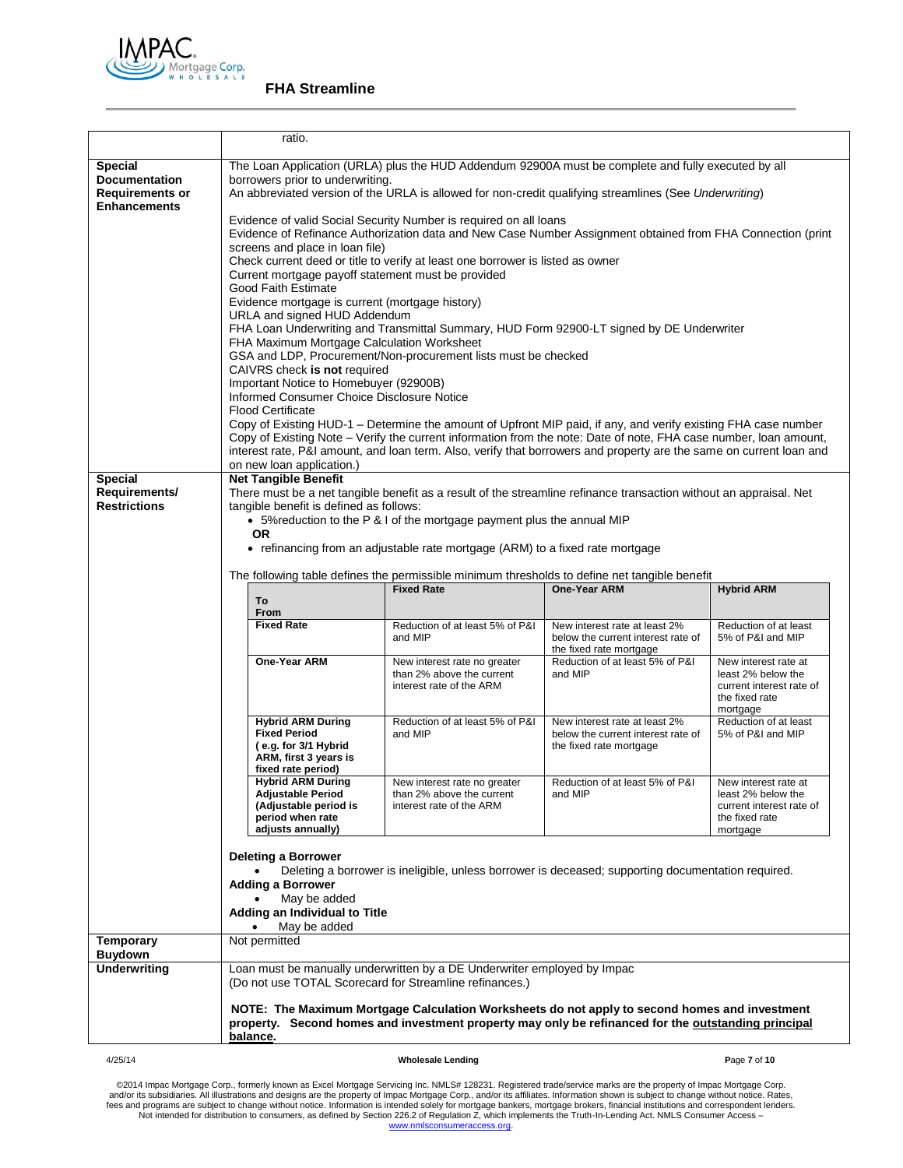

|                                                                                         | ratio.                                                                                                                                                                                                                                                                                                                                                                                                                                                                                                                                                                                                                                                                                                                                                                                                                                                                                                                                                                                                                                                                                                                                                                                                                                                                                                                             |                                                                          |                                                                                                                     |                                            |  |
|-----------------------------------------------------------------------------------------|------------------------------------------------------------------------------------------------------------------------------------------------------------------------------------------------------------------------------------------------------------------------------------------------------------------------------------------------------------------------------------------------------------------------------------------------------------------------------------------------------------------------------------------------------------------------------------------------------------------------------------------------------------------------------------------------------------------------------------------------------------------------------------------------------------------------------------------------------------------------------------------------------------------------------------------------------------------------------------------------------------------------------------------------------------------------------------------------------------------------------------------------------------------------------------------------------------------------------------------------------------------------------------------------------------------------------------|--------------------------------------------------------------------------|---------------------------------------------------------------------------------------------------------------------|--------------------------------------------|--|
| <b>Special</b><br><b>Documentation</b><br><b>Requirements or</b><br><b>Enhancements</b> | The Loan Application (URLA) plus the HUD Addendum 92900A must be complete and fully executed by all<br>borrowers prior to underwriting.<br>An abbreviated version of the URLA is allowed for non-credit qualifying streamlines (See Underwriting)<br>Evidence of valid Social Security Number is required on all loans<br>Evidence of Refinance Authorization data and New Case Number Assignment obtained from FHA Connection (print<br>screens and place in loan file)<br>Check current deed or title to verify at least one borrower is listed as owner<br>Current mortgage payoff statement must be provided<br>Good Faith Estimate<br>Evidence mortgage is current (mortgage history)<br>URLA and signed HUD Addendum<br>FHA Loan Underwriting and Transmittal Summary, HUD Form 92900-LT signed by DE Underwriter<br>FHA Maximum Mortgage Calculation Worksheet<br>GSA and LDP, Procurement/Non-procurement lists must be checked<br>CAIVRS check is not required<br>Important Notice to Homebuyer (92900B)<br>Informed Consumer Choice Disclosure Notice<br><b>Flood Certificate</b><br>Copy of Existing HUD-1 – Determine the amount of Upfront MIP paid, if any, and verify existing FHA case number<br>Copy of Existing Note - Verify the current information from the note: Date of note, FHA case number, loan amount, |                                                                          |                                                                                                                     |                                            |  |
|                                                                                         | on new loan application.)                                                                                                                                                                                                                                                                                                                                                                                                                                                                                                                                                                                                                                                                                                                                                                                                                                                                                                                                                                                                                                                                                                                                                                                                                                                                                                          |                                                                          | interest rate, P&I amount, and loan term. Also, verify that borrowers and property are the same on current loan and |                                            |  |
| <b>Special</b><br>Requirements/<br><b>Restrictions</b>                                  | <b>Net Tangible Benefit</b><br>There must be a net tangible benefit as a result of the streamline refinance transaction without an appraisal. Net<br>tangible benefit is defined as follows:<br>• 5% reduction to the P & I of the mortgage payment plus the annual MIP<br><b>OR</b><br>• refinancing from an adjustable rate mortgage (ARM) to a fixed rate mortgage                                                                                                                                                                                                                                                                                                                                                                                                                                                                                                                                                                                                                                                                                                                                                                                                                                                                                                                                                              |                                                                          |                                                                                                                     |                                            |  |
|                                                                                         | To<br>From                                                                                                                                                                                                                                                                                                                                                                                                                                                                                                                                                                                                                                                                                                                                                                                                                                                                                                                                                                                                                                                                                                                                                                                                                                                                                                                         | <b>Fixed Rate</b>                                                        | The following table defines the permissible minimum thresholds to define net tangible benefit<br>One-Year ARM       | <b>Hybrid ARM</b>                          |  |
|                                                                                         | <b>Fixed Rate</b>                                                                                                                                                                                                                                                                                                                                                                                                                                                                                                                                                                                                                                                                                                                                                                                                                                                                                                                                                                                                                                                                                                                                                                                                                                                                                                                  | Reduction of at least 5% of P&I<br>and MIP                               | New interest rate at least 2%<br>below the current interest rate of<br>the fixed rate mortgage                      | Reduction of at least<br>5% of P&I and MIP |  |
|                                                                                         | One-Year ARM<br>New interest rate no greater<br>Reduction of at least 5% of P&I<br>New interest rate at<br>than 2% above the current<br>and MIP<br>least 2% below the<br>interest rate of the ARM<br>current interest rate of<br>the fixed rate<br>mortgage                                                                                                                                                                                                                                                                                                                                                                                                                                                                                                                                                                                                                                                                                                                                                                                                                                                                                                                                                                                                                                                                        |                                                                          |                                                                                                                     |                                            |  |
|                                                                                         | <b>Hybrid ARM During</b><br><b>Fixed Period</b><br>(e.g. for 3/1 Hybrid<br>ARM, first 3 years is<br>fixed rate period)                                                                                                                                                                                                                                                                                                                                                                                                                                                                                                                                                                                                                                                                                                                                                                                                                                                                                                                                                                                                                                                                                                                                                                                                             | Reduction of at least 5% of P&I<br>and MIP                               | New interest rate at least 2%<br>below the current interest rate of<br>the fixed rate mortgage                      | Reduction of at least<br>5% of P&I and MIP |  |
|                                                                                         | <b>Hybrid ARM During</b><br>Reduction of at least 5% of P&I<br>New interest rate no greater<br>New interest rate at<br><b>Adjustable Period</b><br>least 2% below the<br>than 2% above the current<br>and MIP<br>(Adjustable period is<br>interest rate of the ARM<br>current interest rate of<br>period when rate<br>the fixed rate<br>adjusts annually)<br>mortgage                                                                                                                                                                                                                                                                                                                                                                                                                                                                                                                                                                                                                                                                                                                                                                                                                                                                                                                                                              |                                                                          |                                                                                                                     |                                            |  |
|                                                                                         | <b>Deleting a Borrower</b><br>Deleting a borrower is ineligible, unless borrower is deceased; supporting documentation required.                                                                                                                                                                                                                                                                                                                                                                                                                                                                                                                                                                                                                                                                                                                                                                                                                                                                                                                                                                                                                                                                                                                                                                                                   |                                                                          |                                                                                                                     |                                            |  |
|                                                                                         | <b>Adding a Borrower</b><br>May be added<br>Adding an Individual to Title                                                                                                                                                                                                                                                                                                                                                                                                                                                                                                                                                                                                                                                                                                                                                                                                                                                                                                                                                                                                                                                                                                                                                                                                                                                          |                                                                          |                                                                                                                     |                                            |  |
| Temporary                                                                               | May be added<br>Not permitted                                                                                                                                                                                                                                                                                                                                                                                                                                                                                                                                                                                                                                                                                                                                                                                                                                                                                                                                                                                                                                                                                                                                                                                                                                                                                                      |                                                                          |                                                                                                                     |                                            |  |
| Buydown<br><b>Underwriting</b>                                                          |                                                                                                                                                                                                                                                                                                                                                                                                                                                                                                                                                                                                                                                                                                                                                                                                                                                                                                                                                                                                                                                                                                                                                                                                                                                                                                                                    | Loan must be manually underwritten by a DE Underwriter employed by Impac |                                                                                                                     |                                            |  |
|                                                                                         | (Do not use TOTAL Scorecard for Streamline refinances.)                                                                                                                                                                                                                                                                                                                                                                                                                                                                                                                                                                                                                                                                                                                                                                                                                                                                                                                                                                                                                                                                                                                                                                                                                                                                            |                                                                          |                                                                                                                     |                                            |  |
|                                                                                         | NOTE: The Maximum Mortgage Calculation Worksheets do not apply to second homes and investment<br>property. Second homes and investment property may only be refinanced for the outstanding principal<br>balance.                                                                                                                                                                                                                                                                                                                                                                                                                                                                                                                                                                                                                                                                                                                                                                                                                                                                                                                                                                                                                                                                                                                   |                                                                          |                                                                                                                     |                                            |  |

#### 4/25/14 **Wholesale Lending P**age **7** of **10**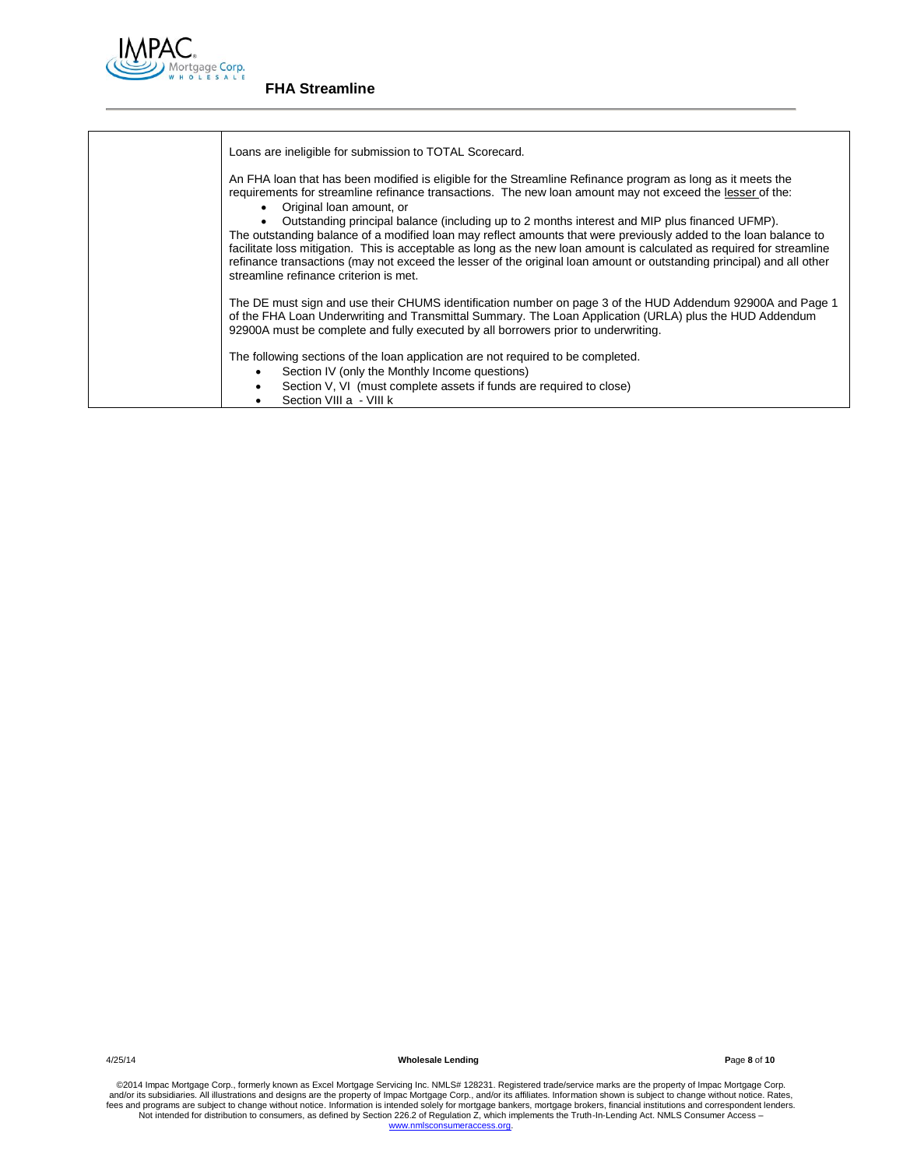

| Loans are ineligible for submission to TOTAL Scorecard.                                                                                                                                                                                                                                                                                                                                                                                                                                                        |
|----------------------------------------------------------------------------------------------------------------------------------------------------------------------------------------------------------------------------------------------------------------------------------------------------------------------------------------------------------------------------------------------------------------------------------------------------------------------------------------------------------------|
| An FHA loan that has been modified is eligible for the Streamline Refinance program as long as it meets the<br>requirements for streamline refinance transactions. The new loan amount may not exceed the lesser of the:<br>• Original loan amount, or                                                                                                                                                                                                                                                         |
| Outstanding principal balance (including up to 2 months interest and MIP plus financed UFMP).<br>The outstanding balance of a modified loan may reflect amounts that were previously added to the loan balance to<br>facilitate loss mitigation. This is acceptable as long as the new loan amount is calculated as required for streamline<br>refinance transactions (may not exceed the lesser of the original loan amount or outstanding principal) and all other<br>streamline refinance criterion is met. |
| The DE must sign and use their CHUMS identification number on page 3 of the HUD Addendum 92900A and Page 1<br>of the FHA Loan Underwriting and Transmittal Summary. The Loan Application (URLA) plus the HUD Addendum<br>92900A must be complete and fully executed by all borrowers prior to underwriting.                                                                                                                                                                                                    |
| The following sections of the loan application are not required to be completed.<br>Section IV (only the Monthly Income questions)<br>Section V, VI (must complete assets if funds are required to close)                                                                                                                                                                                                                                                                                                      |
| Section VIII a - VIII k                                                                                                                                                                                                                                                                                                                                                                                                                                                                                        |

4/25/14 **Wholesale Lending P**age **8** of **10**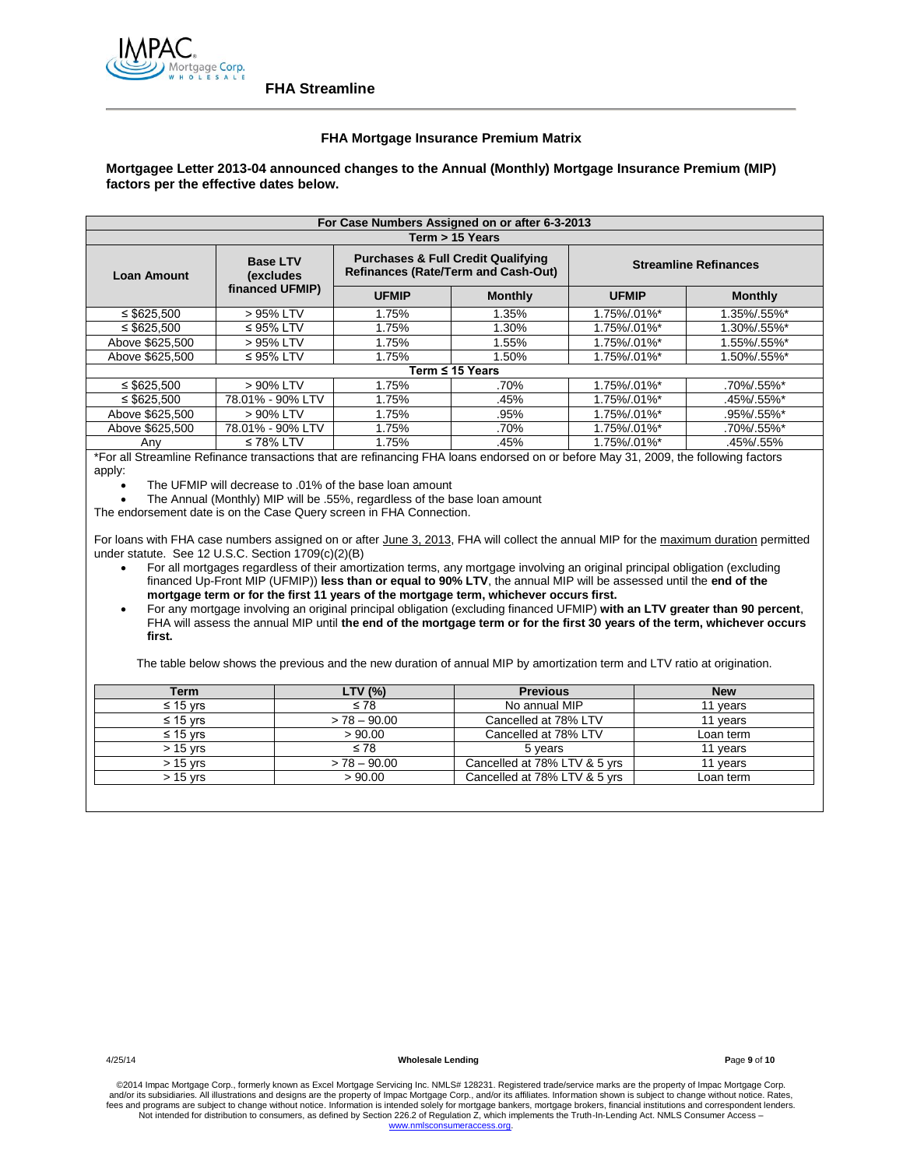

## **FHA Mortgage Insurance Premium Matrix**

## **Mortgagee Letter 2013-04 announced changes to the Annual (Monthly) Mortgage Insurance Premium (MIP) factors per the effective dates below.**

| For Case Numbers Assigned on or after 6-3-2013 |                              |                                                                                             |                      |                              |                |
|------------------------------------------------|------------------------------|---------------------------------------------------------------------------------------------|----------------------|------------------------------|----------------|
|                                                |                              |                                                                                             | Term > 15 Years      |                              |                |
| <b>Loan Amount</b>                             | <b>Base LTV</b><br>(excludes | <b>Purchases &amp; Full Credit Qualifying</b><br><b>Refinances (Rate/Term and Cash-Out)</b> |                      | <b>Streamline Refinances</b> |                |
|                                                | financed UFMIP)              | <b>UFMIP</b>                                                                                | <b>Monthly</b>       |                              | <b>Monthly</b> |
| $\leq$ \$625,500                               | > 95% LTV                    | 1.75%                                                                                       | 1.35%                | 1.75%/.01%*                  | 1.35%/.55%*    |
| $\leq$ \$625.500                               | $\leq$ 95% LTV               | 1.75%                                                                                       | 1.30%                | 1.75%/.01%*                  | 1.30%/.55%*    |
| Above \$625.500                                | > 95% LTV                    | 1.75%                                                                                       | 1.55%                | 1.75%/.01%*                  | 1.55%/.55%*    |
| Above \$625.500                                | $\leq$ 95% LTV               | 1.75%                                                                                       | 1.50%                | 1.75%/.01%*                  | 1.50%/.55%*    |
|                                                |                              |                                                                                             | Term $\leq$ 15 Years |                              |                |
| $\leq$ \$625.500                               | > 90% LTV                    | 1.75%                                                                                       | .70%                 | 1.75%/.01%*                  | .70%/.55%*     |
| $\leq$ \$625.500                               | 78.01% - 90% LTV             | 1.75%                                                                                       | .45%                 | 1.75%/.01%*                  | .45%/.55%*     |
| Above \$625,500                                | $>90\%$ LTV                  | 1.75%                                                                                       | .95%                 | 1.75%/.01%*                  | .95%/.55%*     |
| Above \$625.500                                | 78.01% - 90% LTV             | 1.75%                                                                                       | .70%                 | 1.75%/.01%*                  | .70%/.55%*     |
| Any                                            | $\leq 78\%$ LTV              | 1.75%                                                                                       | .45%                 | 1.75%/.01%*                  | .45%/.55%      |

\*For all Streamline Refinance transactions that are refinancing FHA loans endorsed on or before May 31, 2009, the following factors apply:

• The UFMIP will decrease to .01% of the base loan amount

The Annual (Monthly) MIP will be .55%, regardless of the base loan amount

The endorsement date is on the Case Query screen in FHA Connection.

For loans with FHA case numbers assigned on or after June 3, 2013, FHA will collect the annual MIP for the maximum duration permitted under statute. See 12 U.S.C. Section 1709(c)(2)(B)

 For all mortgages regardless of their amortization terms, any mortgage involving an original principal obligation (excluding financed Up-Front MIP (UFMIP)) **less than or equal to 90% LTV**, the annual MIP will be assessed until the **end of the mortgage term or for the first 11 years of the mortgage term, whichever occurs first.**

 For any mortgage involving an original principal obligation (excluding financed UFMIP) **with an LTV greater than 90 percent**, FHA will assess the annual MIP until **the end of the mortgage term or for the first 30 years of the term, whichever occurs first.**

The table below shows the previous and the new duration of annual MIP by amortization term and LTV ratio at origination.

| Term       | LTV $(%)$      | <b>Previous</b>              | <b>New</b> |
|------------|----------------|------------------------------|------------|
| ≤ 15 vrs   | $\leq 78$      | No annual MIP                | 11 years   |
| ≤ 15 vrs   | $> 78 - 90.00$ | Cancelled at 78% LTV         | 11 years   |
| ≤ 15 vrs   | > 90.00        | Cancelled at 78% LTV         | Loan term  |
| $> 15$ yrs | $\leq 78$      | 5 years                      | 11 years   |
| $> 15$ yrs | $> 78 - 90.00$ | Cancelled at 78% LTV & 5 yrs | 11 years   |
| $> 15$ vrs | > 90.00        | Cancelled at 78% LTV & 5 yrs | Loan term  |
|            |                |                              |            |

4/25/14 **Wholesale Lending P**age **9** of **10**

©2014 Impac Mortgage Corp., formerly known as Excel Mortgage Servicing Inc. NMLS# 128231. Registered trade/service marks are the property of Impac Mortgage Corp.<br>and/or its subsidiaries. All illustrations and designs are t fees and programs are subject to change without notice. Information is intended solely for mortgage bankers, mortgage brokers, financial institutions and correspondent lenders. Not intended for distribution to consumers, as defined by Section 226.2 of Regulation Z, which implements the Truth-In-Lending Act. NMLS Consumer Access www.nm